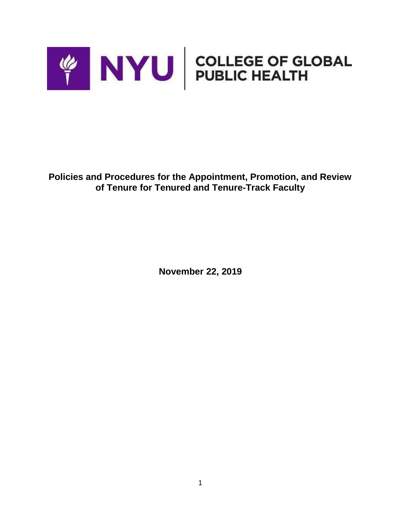

**Policies and Procedures for the Appointment, Promotion, and Review of Tenure for Tenured and Tenure-Track Faculty**

**November 22, 2019**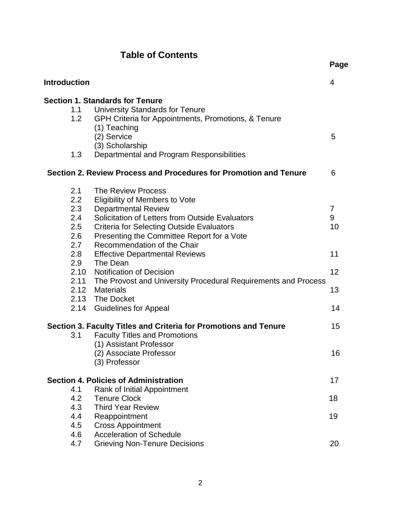# **Table of Contents**

**Page**

| Introduction                                                           |      |                                                                   | 4  |  |
|------------------------------------------------------------------------|------|-------------------------------------------------------------------|----|--|
|                                                                        |      | <b>Section 1. Standards for Tenure</b>                            |    |  |
|                                                                        | 1.1  | <b>University Standards for Tenure</b>                            |    |  |
|                                                                        | 1.2  | GPH Criteria for Appointments, Promotions, & Tenure               |    |  |
|                                                                        |      | (1) Teaching                                                      |    |  |
|                                                                        |      | (2) Service                                                       | 5  |  |
|                                                                        |      | (3) Scholarship                                                   |    |  |
|                                                                        | 1.3  | Departmental and Program Responsibilities                         |    |  |
|                                                                        |      | Section 2. Review Process and Procedures for Promotion and Tenure | 6  |  |
|                                                                        | 2.1  | The Review Process                                                |    |  |
|                                                                        | 2.2  | Eligibility of Members to Vote                                    |    |  |
|                                                                        | 2.3  | <b>Departmental Review</b>                                        | 7  |  |
|                                                                        | 2.4  | Solicitation of Letters from Outside Evaluators                   | 9  |  |
|                                                                        | 2.5  | <b>Criteria for Selecting Outside Evaluators</b>                  | 10 |  |
|                                                                        | 2.6  | Presenting the Committee Report for a Vote                        |    |  |
|                                                                        | 2.7  | Recommendation of the Chair                                       |    |  |
|                                                                        | 2.8  | <b>Effective Departmental Reviews</b>                             | 11 |  |
|                                                                        | 2.9  | The Dean                                                          |    |  |
|                                                                        | 2.10 | <b>Notification of Decision</b>                                   | 12 |  |
|                                                                        | 2.11 | The Provost and University Procedural Requirements and Process    |    |  |
|                                                                        | 2.12 | Materials                                                         | 13 |  |
|                                                                        |      | 2.13 The Docket                                                   |    |  |
|                                                                        | 2.14 | <b>Guidelines for Appeal</b>                                      | 14 |  |
| 15<br>Section 3. Faculty Titles and Criteria for Promotions and Tenure |      |                                                                   |    |  |
|                                                                        | 3.1  | <b>Faculty Titles and Promotions</b>                              |    |  |
|                                                                        |      | (1) Assistant Professor                                           |    |  |
|                                                                        |      | (2) Associate Professor                                           | 16 |  |
|                                                                        |      | (3) Professor                                                     |    |  |
|                                                                        |      | <b>Section 4. Policies of Administration</b>                      | 17 |  |
|                                                                        | 4.1  | Rank of Initial Appointment                                       |    |  |
|                                                                        | 4.2  | <b>Tenure Clock</b>                                               | 18 |  |
|                                                                        | 4.3  | <b>Third Year Review</b>                                          |    |  |
|                                                                        | 4.4  | Reappointment                                                     | 19 |  |
|                                                                        | 4.5  | <b>Cross Appointment</b>                                          |    |  |
|                                                                        | 4.6  | <b>Acceleration of Schedule</b>                                   |    |  |
|                                                                        | 4.7  | <b>Grieving Non-Tenure Decisions</b>                              | 20 |  |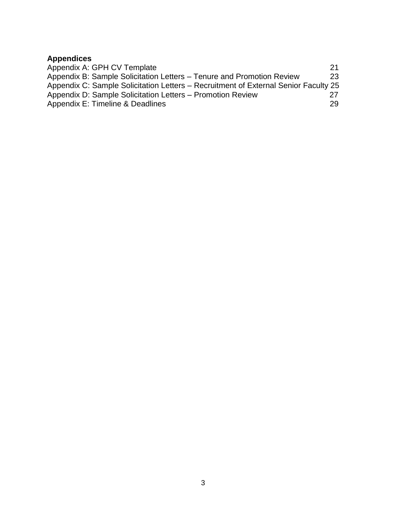## **Appendices** Appendix A: GPH CV Template 21 Appendix B: Sample Solicitation Letters – Tenure and Promotion Review 23 Appendix C: Sample Solicitation Letters – Recruitment of External Senior Faculty 25 Appendix D: Sample Solicitation Letters – Promotion Review 27<br>Appendix E: Timeline & Deadlines Appendix E: Timeline & Deadlines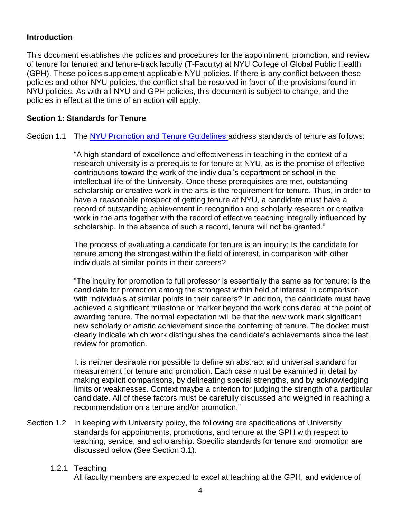# <span id="page-3-0"></span>**Introduction**

This document establishes the policies and procedures for the appointment, promotion, and review of tenure for tenured and tenure-track faculty (T-Faculty) at NYU College of Global Public Health (GPH). These polices supplement applicable NYU policies. If there is any conflict between these policies and other NYU policies, the conflict shall be resolved in favor of the provisions found in NYU policies. As with all NYU and GPH policies, this document is subject to change, and the policies in effect at the time of an action will apply.

## <span id="page-3-1"></span>**Section 1: Standards for Tenure**

#### Section 1.1 The [NYU Promotion and Tenure Guidelines a](https://www.nyu.edu/about/policies-guidelines-compliance/policies-and-guidelines/promotion-and-tenure-guidelines.html)ddress standards of tenure as follows:

"A high standard of excellence and effectiveness in teaching in the context of a research university is a prerequisite for tenure at NYU, as is the promise of effective contributions toward the work of the individual's department or school in the intellectual life of the University. Once these prerequisites are met, outstanding scholarship or creative work in the arts is the requirement for tenure. Thus, in order to have a reasonable prospect of getting tenure at NYU, a candidate must have a record of outstanding achievement in recognition and scholarly research or creative work in the arts together with the record of effective teaching integrally influenced by scholarship. In the absence of such a record, tenure will not be granted."

The process of evaluating a candidate for tenure is an inquiry: Is the candidate for tenure among the strongest within the field of interest, in comparison with other individuals at similar points in their careers?

"The inquiry for promotion to full professor is essentially the same as for tenure: is the candidate for promotion among the strongest within field of interest, in comparison with individuals at similar points in their careers? In addition, the candidate must have achieved a significant milestone or marker beyond the work considered at the point of awarding tenure. The normal expectation will be that the new work mark significant new scholarly or artistic achievement since the conferring of tenure. The docket must clearly indicate which work distinguishes the candidate's achievements since the last review for promotion.

It is neither desirable nor possible to define an abstract and universal standard for measurement for tenure and promotion. Each case must be examined in detail by making explicit comparisons, by delineating special strengths, and by acknowledging limits or weaknesses. Context maybe a criterion for judging the strength of a particular candidate. All of these factors must be carefully discussed and weighed in reaching a recommendation on a tenure and/or promotion."

- Section 1.2 In keeping with University policy, the following are specifications of University standards for appointments, promotions, and tenure at the GPH with respect to teaching, service, and scholarship. Specific standards for tenure and promotion are discussed below (See Section 3.1).
	- 1.2.1 Teaching

All faculty members are expected to excel at teaching at the GPH, and evidence of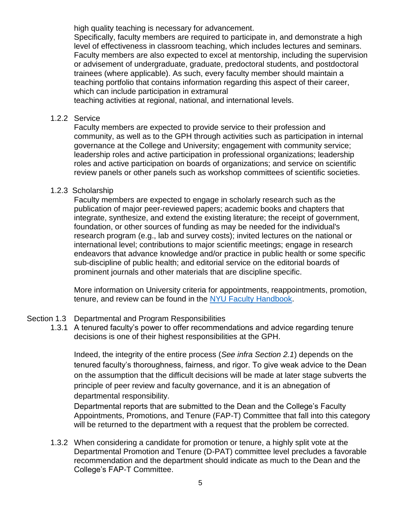high quality teaching is necessary for advancement.

Specifically, faculty members are required to participate in, and demonstrate a high level of effectiveness in classroom teaching, which includes lectures and seminars. Faculty members are also expected to excel at mentorship, including the supervision or advisement of undergraduate, graduate, predoctoral students, and postdoctoral trainees (where applicable). As such, every faculty member should maintain a teaching portfolio that contains information regarding this aspect of their career, which can include participation in extramural

teaching activities at regional, national, and international levels.

#### 1.2.2 Service

Faculty members are expected to provide service to their profession and community, as well as to the GPH through activities such as participation in internal governance at the College and University; engagement with community service; leadership roles and active participation in professional organizations; leadership roles and active participation on boards of organizations; and service on scientific review panels or other panels such as workshop committees of scientific societies.

#### 1.2.3 Scholarship

Faculty members are expected to engage in scholarly research such as the publication of major peer-reviewed papers; academic books and chapters that integrate, synthesize, and extend the existing literature; the receipt of government, foundation, or other sources of funding as may be needed for the individual's research program (e.g., lab and survey costs); invited lectures on the national or international level; contributions to major scientific meetings; engage in research endeavors that advance knowledge and/or practice in public health or some specific sub-discipline of public health; and editorial service on the editorial boards of prominent journals and other materials that are discipline specific.

More information on University criteria for appointments, reappointments, promotion, tenure, and review can be found in the [NYU Faculty](http://www.nyu.edu/content/dam/nyu/provost/documents/facultyHandbook/6.27.16FacultyHandbookclean.pdf) [Handbook.](http://www.nyu.edu/content/dam/nyu/provost/documents/facultyHandbook/6.27.16FacultyHandbookclean.pdf)

#### Section 1.3 Departmental and Program Responsibilities

1.3.1 A tenured faculty's power to offer recommendations and advice regarding tenure decisions is one of their highest responsibilities at the GPH.

Indeed, the integrity of the entire process (*See infra Section 2.1*) depends on the tenured faculty's thoroughness, fairness, and rigor. To give weak advice to the Dean on the assumption that the difficult decisions will be made at later stage subverts the principle of peer review and faculty governance, and it is an abnegation of departmental responsibility.

Departmental reports that are submitted to the Dean and the College's Faculty Appointments, Promotions, and Tenure (FAP-T) Committee that fall into this category will be returned to the department with a request that the problem be corrected.

1.3.2 When considering a candidate for promotion or tenure, a highly split vote at the Departmental Promotion and Tenure (D-PAT) committee level precludes a favorable recommendation and the department should indicate as much to the Dean and the College's FAP-T Committee.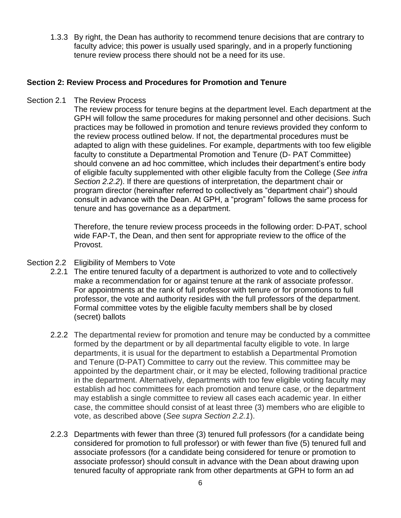1.3.3 By right, the Dean has authority to recommend tenure decisions that are contrary to faculty advice; this power is usually used sparingly, and in a properly functioning tenure review process there should not be a need for its use.

#### **Section 2: Review Process and Procedures for Promotion and Tenure**

Section 2.1 The Review Process

The review process for tenure begins at the department level. Each department at the GPH will follow the same procedures for making personnel and other decisions. Such practices may be followed in promotion and tenure reviews provided they conform to the review process outlined below. If not, the departmental procedures must be adapted to align with these guidelines. For example, departments with too few eligible faculty to constitute a Departmental Promotion and Tenure (D- PAT Committee) should convene an ad hoc committee, which includes their department's entire body of eligible faculty supplemented with other eligible faculty from the College (*See infra Section 2.2.2*). If there are questions of interpretation, the department chair or program director (hereinafter referred to collectively as "department chair") should consult in advance with the Dean. At GPH, a "program" follows the same process for tenure and has governance as a department.

Therefore, the tenure review process proceeds in the following order: D-PAT, school wide FAP-T, the Dean, and then sent for appropriate review to the office of the Provost.

- Section 2.2 Eligibility of Members to Vote
	- 2.2.1 The entire tenured faculty of a department is authorized to vote and to collectively make a recommendation for or against tenure at the rank of associate professor. For appointments at the rank of full professor with tenure or for promotions to full professor, the vote and authority resides with the full professors of the department. Formal committee votes by the eligible faculty members shall be by closed (secret) ballots
	- 2.2.2 The departmental review for promotion and tenure may be conducted by a committee formed by the department or by all departmental faculty eligible to vote. In large departments, it is usual for the department to establish a Departmental Promotion and Tenure (D-PAT) Committee to carry out the review. This committee may be appointed by the department chair, or it may be elected, following traditional practice in the department. Alternatively, departments with too few eligible voting faculty may establish ad hoc committees for each promotion and tenure case, or the department may establish a single committee to review all cases each academic year. In either case, the committee should consist of at least three (3) members who are eligible to vote, as described above (*See supra Section 2.2.1*).
	- 2.2.3 Departments with fewer than three (3) tenured full professors (for a candidate being considered for promotion to full professor) or with fewer than five (5) tenured full and associate professors (for a candidate being considered for tenure or promotion to associate professor) should consult in advance with the Dean about drawing upon tenured faculty of appropriate rank from other departments at GPH to form an ad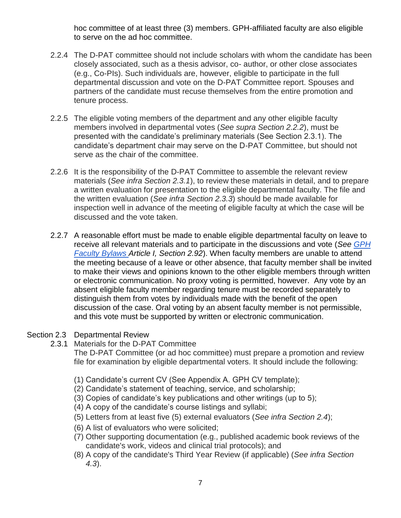hoc committee of at least three (3) members. GPH-affiliated faculty are also eligible to serve on the ad hoc committee.

- 2.2.4 The D-PAT committee should not include scholars with whom the candidate has been closely associated, such as a thesis advisor, co- author, or other close associates (e.g., Co-PIs). Such individuals are, however, eligible to participate in the full departmental discussion and vote on the D-PAT Committee report. Spouses and partners of the candidate must recuse themselves from the entire promotion and tenure process.
- 2.2.5 The eligible voting members of the department and any other eligible faculty members involved in departmental votes (*See supra Section 2.2.2*), must be presented with the candidate's preliminary materials (See Section 2.3.1). The candidate's department chair may serve on the D-PAT Committee, but should not serve as the chair of the committee.
- 2.2.6 It is the responsibility of the D-PAT Committee to assemble the relevant review materials (*See infra Section 2.3.1*), to review these materials in detail, and to prepare a written evaluation for presentation to the eligible departmental faculty. The file and the written evaluation (*See infra Section 2.3.3*) should be made available for inspection well in advance of the meeting of eligible faculty at which the case will be discussed and the vote taken.
- 2.2.7 A reasonable effort must be made to enable eligible departmental faculty on leave to receive all relevant materials and to participate in the discussions and vote (*See [GPH](https://nyu.app.box.com/s/oaxu48h9a6s8kcduop4usdrema3pq8b3)  [Faculty Bylaws A](https://nyu.app.box.com/s/oaxu48h9a6s8kcduop4usdrema3pq8b3)rticle I, Section 2.92*). When faculty members are unable to attend the meeting because of a leave or other absence, that faculty member shall be invited to make their views and opinions known to the other eligible members through written or electronic communication. No proxy voting is permitted, however. Any vote by an absent eligible faculty member regarding tenure must be recorded separately to distinguish them from votes by individuals made with the benefit of the open discussion of the case. Oral voting by an absent faculty member is not permissible, and this vote must be supported by written or electronic communication.

#### Section 2.3 Departmental Review

#### 2.3.1 Materials for the D-PAT Committee

The D-PAT Committee (or ad hoc committee) must prepare a promotion and review file for examination by eligible departmental voters. It should include the following:

- (1) Candidate's current CV (See Appendix A. GPH CV template);
- (2) Candidate's statement of teaching, service, and scholarship;
- (3) Copies of candidate's key publications and other writings (up to 5);
- (4) A copy of the candidate's course listings and syllabi;
- (5) Letters from at least five (5) external evaluators (*See infra Section 2.4*);
- (6) A list of evaluators who were solicited;
- (7) Other supporting documentation (e.g., published academic book reviews of the candidate's work, videos and clinical trial protocols); and
- (8) A copy of the candidate's Third Year Review (if applicable) (*See infra Section 4.3*).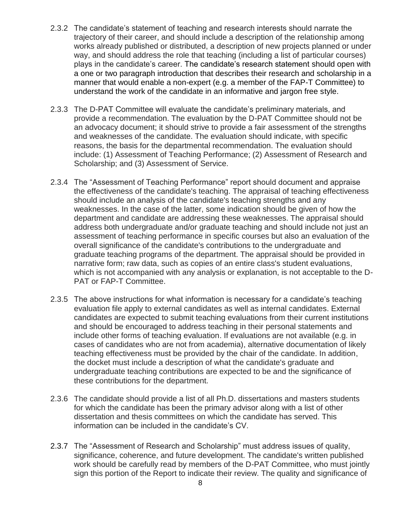- 2.3.2 The candidate's statement of teaching and research interests should narrate the trajectory of their career, and should include a description of the relationship among works already published or distributed, a description of new projects planned or under way, and should address the role that teaching (including a list of particular courses) plays in the candidate's career. The candidate's research statement should open with a one or two paragraph introduction that describes their research and scholarship in a manner that would enable a non-expert (e.g. a member of the FAP-T Committee) to understand the work of the candidate in an informative and jargon free style.
- 2.3.3 The D-PAT Committee will evaluate the candidate's preliminary materials, and provide a recommendation. The evaluation by the D-PAT Committee should not be an advocacy document; it should strive to provide a fair assessment of the strengths and weaknesses of the candidate. The evaluation should indicate, with specific reasons, the basis for the departmental recommendation. The evaluation should include: (1) Assessment of Teaching Performance; (2) Assessment of Research and Scholarship; and (3) Assessment of Service.
- 2.3.4 The "Assessment of Teaching Performance" report should document and appraise the effectiveness of the candidate's teaching. The appraisal of teaching effectiveness should include an analysis of the candidate's teaching strengths and any weaknesses. In the case of the latter, some indication should be given of how the department and candidate are addressing these weaknesses. The appraisal should address both undergraduate and/or graduate teaching and should include not just an assessment of teaching performance in specific courses but also an evaluation of the overall significance of the candidate's contributions to the undergraduate and graduate teaching programs of the department. The appraisal should be provided in narrative form; raw data, such as copies of an entire class's student evaluations, which is not accompanied with any analysis or explanation, is not acceptable to the D-PAT or FAP-T Committee.
- 2.3.5 The above instructions for what information is necessary for a candidate's teaching evaluation file apply to external candidates as well as internal candidates. External candidates are expected to submit teaching evaluations from their current institutions and should be encouraged to address teaching in their personal statements and include other forms of teaching evaluation. If evaluations are not available (e.g. in cases of candidates who are not from academia), alternative documentation of likely teaching effectiveness must be provided by the chair of the candidate. In addition, the docket must include a description of what the candidate's graduate and undergraduate teaching contributions are expected to be and the significance of these contributions for the department.
- 2.3.6 The candidate should provide a list of all Ph.D. dissertations and masters students for which the candidate has been the primary advisor along with a list of other dissertation and thesis committees on which the candidate has served. This information can be included in the candidate's CV.
- 2.3.7 The "Assessment of Research and Scholarship" must address issues of quality, significance, coherence, and future development. The candidate's written published work should be carefully read by members of the D-PAT Committee, who must jointly sign this portion of the Report to indicate their review. The quality and significance of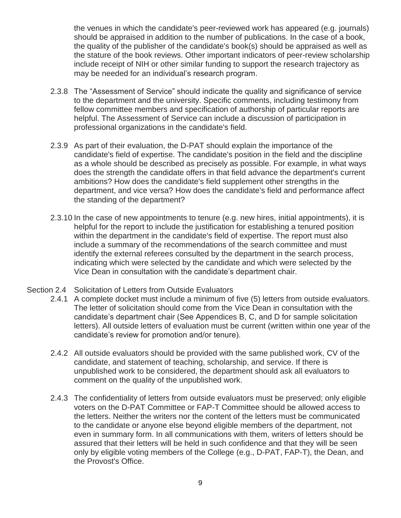the venues in which the candidate's peer-reviewed work has appeared (e.g. journals) should be appraised in addition to the number of publications. In the case of a book, the quality of the publisher of the candidate's book(s) should be appraised as well as the stature of the book reviews. Other important indicators of peer-review scholarship include receipt of NIH or other similar funding to support the research trajectory as may be needed for an individual's research program.

- 2.3.8 The "Assessment of Service" should indicate the quality and significance of service to the department and the university. Specific comments, including testimony from fellow committee members and specification of authorship of particular reports are helpful. The Assessment of Service can include a discussion of participation in professional organizations in the candidate's field.
- 2.3.9 As part of their evaluation, the D-PAT should explain the importance of the candidate's field of expertise. The candidate's position in the field and the discipline as a whole should be described as precisely as possible. For example, in what ways does the strength the candidate offers in that field advance the department's current ambitions? How does the candidate's field supplement other strengths in the department, and vice versa? How does the candidate's field and performance affect the standing of the department?
- 2.3.10 In the case of new appointments to tenure (e.g. new hires, initial appointments), it is helpful for the report to include the justification for establishing a tenured position within the department in the candidate's field of expertise. The report must also include a summary of the recommendations of the search committee and must identify the external referees consulted by the department in the search process, indicating which were selected by the candidate and which were selected by the Vice Dean in consultation with the candidate's department chair.
- Section 2.4 Solicitation of Letters from Outside Evaluators
	- 2.4.1 A complete docket must include a minimum of five (5) letters from outside evaluators. The letter of solicitation should come from the Vice Dean in consultation with the candidate's department chair (See Appendices B, C, and D for sample solicitation letters). All outside letters of evaluation must be current (written within one year of the candidate's review for promotion and/or tenure).
	- 2.4.2 All outside evaluators should be provided with the same published work, CV of the candidate, and statement of teaching, scholarship, and service. If there is unpublished work to be considered, the department should ask all evaluators to comment on the quality of the unpublished work.
	- 2.4.3 The confidentiality of letters from outside evaluators must be preserved; only eligible voters on the D-PAT Committee or FAP-T Committee should be allowed access to the letters. Neither the writers nor the content of the letters must be communicated to the candidate or anyone else beyond eligible members of the department, not even in summary form. In all communications with them, writers of letters should be assured that their letters will be held in such confidence and that they will be seen only by eligible voting members of the College (e.g., D-PAT, FAP-T), the Dean, and the Provost's Office.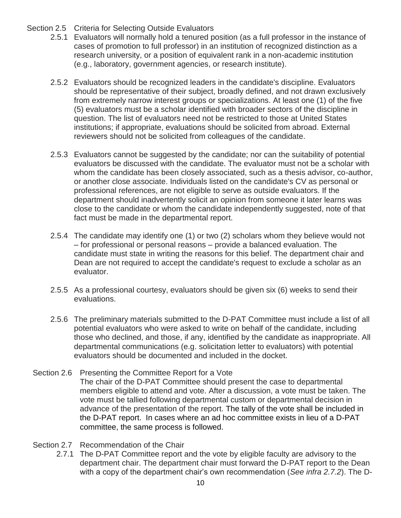# Section 2.5 Criteria for Selecting Outside Evaluators

- 2.5.1 Evaluators will normally hold a tenured position (as a full professor in the instance of cases of promotion to full professor) in an institution of recognized distinction as a research university, or a position of equivalent rank in a non-academic institution (e.g., laboratory, government agencies, or research institute).
- 2.5.2 Evaluators should be recognized leaders in the candidate's discipline. Evaluators should be representative of their subject, broadly defined, and not drawn exclusively from extremely narrow interest groups or specializations. At least one (1) of the five (5) evaluators must be a scholar identified with broader sectors of the discipline in question. The list of evaluators need not be restricted to those at United States institutions; if appropriate, evaluations should be solicited from abroad. External reviewers should not be solicited from colleagues of the candidate.
- 2.5.3 Evaluators cannot be suggested by the candidate; nor can the suitability of potential evaluators be discussed with the candidate. The evaluator must not be a scholar with whom the candidate has been closely associated, such as a thesis advisor, co-author, or another close associate. Individuals listed on the candidate's CV as personal or professional references, are not eligible to serve as outside evaluators. If the department should inadvertently solicit an opinion from someone it later learns was close to the candidate or whom the candidate independently suggested, note of that fact must be made in the departmental report.
- 2.5.4 The candidate may identify one (1) or two (2) scholars whom they believe would not – for professional or personal reasons – provide a balanced evaluation. The candidate must state in writing the reasons for this belief. The department chair and Dean are not required to accept the candidate's request to exclude a scholar as an evaluator.
- 2.5.5 As a professional courtesy, evaluators should be given six (6) weeks to send their evaluations.
- 2.5.6 The preliminary materials submitted to the D-PAT Committee must include a list of all potential evaluators who were asked to write on behalf of the candidate, including those who declined, and those, if any, identified by the candidate as inappropriate. All departmental communications (e.g. solicitation letter to evaluators) with potential evaluators should be documented and included in the docket.
- Section 2.6 Presenting the Committee Report for a Vote The chair of the D-PAT Committee should present the case to departmental members eligible to attend and vote. After a discussion, a vote must be taken. The vote must be tallied following departmental custom or departmental decision in advance of the presentation of the report. The tally of the vote shall be included in the D-PAT report. In cases where an ad hoc committee exists in lieu of a D-PAT committee, the same process is followed.
- Section 2.7 Recommendation of the Chair
	- 2.7.1 The D-PAT Committee report and the vote by eligible faculty are advisory to the department chair. The department chair must forward the D-PAT report to the Dean with a copy of the department chair's own recommendation (*See infra 2.7.2*). The D-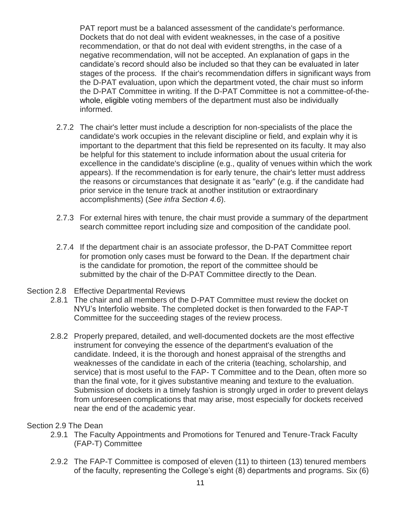PAT report must be a balanced assessment of the candidate's performance. Dockets that do not deal with evident weaknesses, in the case of a positive recommendation, or that do not deal with evident strengths, in the case of a negative recommendation, will not be accepted. An explanation of gaps in the candidate's record should also be included so that they can be evaluated in later stages of the process. If the chair's recommendation differs in significant ways from the D-PAT evaluation, upon which the department voted, the chair must so inform the D-PAT Committee in writing. If the D-PAT Committee is not a committee-of-thewhole, eligible voting members of the department must also be individually informed.

- 2.7.2 The chair's letter must include a description for non-specialists of the place the candidate's work occupies in the relevant discipline or field, and explain why it is important to the department that this field be represented on its faculty. It may also be helpful for this statement to include information about the usual criteria for excellence in the candidate's discipline (e.g., quality of venues within which the work appears). If the recommendation is for early tenure, the chair's letter must address the reasons or circumstances that designate it as "early" (e.g. if the candidate had prior service in the tenure track at another institution or extraordinary accomplishments) (*See infra Section 4.6*).
- 2.7.3 For external hires with tenure, the chair must provide a summary of the department search committee report including size and composition of the candidate pool.
- 2.7.4 If the department chair is an associate professor, the D-PAT Committee report for promotion only cases must be forward to the Dean. If the department chair is the candidate for promotion, the report of the committee should be submitted by the chair of the D-PAT Committee directly to the Dean.

#### Section 2.8 Effective Departmental Reviews

- 2.8.1 The chair and all members of the D-PAT Committee must review the docket on NYU's Interfolio website. The completed docket is then forwarded to the FAP-T Committee for the succeeding stages of the review process.
- 2.8.2 Properly prepared, detailed, and well-documented dockets are the most effective instrument for conveying the essence of the department's evaluation of the candidate. Indeed, it is the thorough and honest appraisal of the strengths and weaknesses of the candidate in each of the criteria (teaching, scholarship, and service) that is most useful to the FAP- T Committee and to the Dean, often more so than the final vote, for it gives substantive meaning and texture to the evaluation. Submission of dockets in a timely fashion is strongly urged in order to prevent delays from unforeseen complications that may arise, most especially for dockets received near the end of the academic year.

#### Section 2.9 The Dean

- 2.9.1 The Faculty Appointments and Promotions for Tenured and Tenure-Track Faculty (FAP-T) Committee
- 2.9.2 The FAP-T Committee is composed of eleven (11) to thirteen (13) tenured members of the faculty, representing the College's eight (8) departments and programs. Six (6)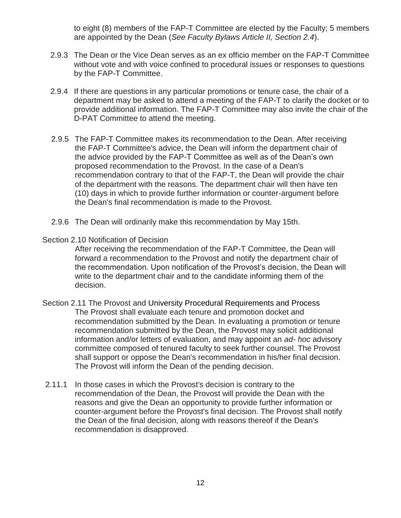to eight (8) members of the FAP-T Committee are elected by the Faculty; 5 members are appointed by the Dean (*See Faculty Bylaws Article II, Section 2.4*).

- 2.9.3 The Dean or the Vice Dean serves as an ex officio member on the FAP-T Committee without vote and with voice confined to procedural issues or responses to questions by the FAP-T Committee.
- 2.9.4 If there are questions in any particular promotions or tenure case, the chair of a department may be asked to attend a meeting of the FAP-T to clarify the docket or to provide additional information. The FAP-T Committee may also invite the chair of the D-PAT Committee to attend the meeting.
- 2.9.5 The FAP-T Committee makes its recommendation to the Dean. After receiving the FAP-T Committee's advice, the Dean will inform the department chair of the advice provided by the FAP-T Committee as well as of the Dean's own proposed recommendation to the Provost. In the case of a Dean's recommendation contrary to that of the FAP-T, the Dean will provide the chair of the department with the reasons. The department chair will then have ten (10) days in which to provide further information or counter-argument before the Dean's final recommendation is made to the Provost.
- 2.9.6 The Dean will ordinarily make this recommendation by May 15th.
- Section 2.10 Notification of Decision

After receiving the recommendation of the FAP-T Committee, the Dean will forward a recommendation to the Provost and notify the department chair of the recommendation. Upon notification of the Provost's decision, the Dean will write to the department chair and to the candidate informing them of the decision.

- Section 2.11 The Provost and University Procedural Requirements and Process The Provost shall evaluate each tenure and promotion docket and recommendation submitted by the Dean. In evaluating a promotion or tenure recommendation submitted by the Dean, the Provost may solicit additional information and/or letters of evaluation, and may appoint an *ad- hoc* advisory committee composed of tenured faculty to seek further counsel. The Provost shall support or oppose the Dean's recommendation in his/her final decision. The Provost will inform the Dean of the pending decision.
- 2.11.1 In those cases in which the Provost's decision is contrary to the recommendation of the Dean, the Provost will provide the Dean with the reasons and give the Dean an opportunity to provide further information or counter-argument before the Provost's final decision. The Provost shall notify the Dean of the final decision, along with reasons thereof if the Dean's recommendation is disapproved.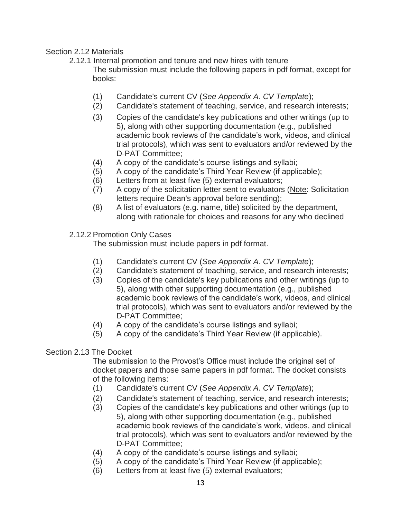# Section 2.12 Materials

2.12.1 Internal promotion and tenure and new hires with tenure The submission must include the following papers in pdf format, except for books:

- (1) Candidate's current CV (*See Appendix A. CV Template*);
- (2) Candidate's statement of teaching, service, and research interests;
- (3) Copies of the candidate's key publications and other writings (up to 5), along with other supporting documentation (e.g., published academic book reviews of the candidate's work, videos, and clinical trial protocols), which was sent to evaluators and/or reviewed by the D-PAT Committee;
- (4) A copy of the candidate's course listings and syllabi;
- (5) A copy of the candidate's Third Year Review (if applicable);
- (6) Letters from at least five (5) external evaluators;
- (7) A copy of the solicitation letter sent to evaluators (Note: Solicitation letters require Dean's approval before sending);
- (8) A list of evaluators (e.g. name, title) solicited by the department, along with rationale for choices and reasons for any who declined

# 2.12.2 Promotion Only Cases

The submission must include papers in pdf format.

- (1) Candidate's current CV (*See Appendix A. CV Template*);
- (2) Candidate's statement of teaching, service, and research interests;
- (3) Copies of the candidate's key publications and other writings (up to 5), along with other supporting documentation (e.g., published academic book reviews of the candidate's work, videos, and clinical trial protocols), which was sent to evaluators and/or reviewed by the D-PAT Committee;
- (4) A copy of the candidate's course listings and syllabi;
- (5) A copy of the candidate's Third Year Review (if applicable).

#### Section 2.13 The Docket

The submission to the Provost's Office must include the original set of docket papers and those same papers in pdf format. The docket consists of the following items:

- (1) Candidate's current CV (*See Appendix A. CV Template*);
- (2) Candidate's statement of teaching, service, and research interests;
- (3) Copies of the candidate's key publications and other writings (up to 5), along with other supporting documentation (e.g., published academic book reviews of the candidate's work, videos, and clinical trial protocols), which was sent to evaluators and/or reviewed by the D-PAT Committee;
- (4) A copy of the candidate's course listings and syllabi;
- (5) A copy of the candidate's Third Year Review (if applicable);
- (6) Letters from at least five (5) external evaluators;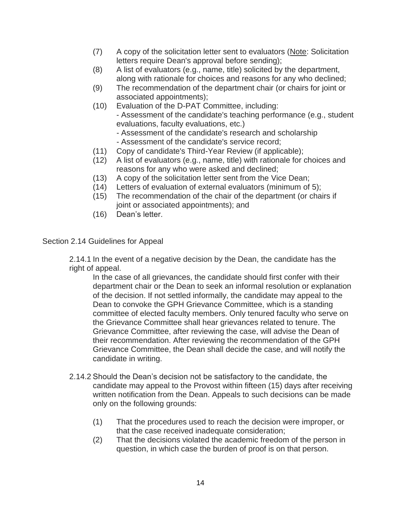- (7) A copy of the solicitation letter sent to evaluators (Note: Solicitation letters require Dean's approval before sending);
- (8) A list of evaluators (e.g., name, title) solicited by the department, along with rationale for choices and reasons for any who declined;
- (9) The recommendation of the department chair (or chairs for joint or associated appointments);
- (10) Evaluation of the D-PAT Committee, including:

- Assessment of the candidate's teaching performance (e.g., student evaluations, faculty evaluations, etc.)

- Assessment of the candidate's research and scholarship
- Assessment of the candidate's service record;
- (11) Copy of candidate's Third-Year Review (if applicable);
- (12) A list of evaluators (e.g., name, title) with rationale for choices and reasons for any who were asked and declined;
- (13) A copy of the solicitation letter sent from the Vice Dean;
- (14) Letters of evaluation of external evaluators (minimum of 5);
- (15) The recommendation of the chair of the department (or chairs if joint or associated appointments); and
- (16) Dean's letter.

#### Section 2.14 Guidelines for Appeal

2.14.1 In the event of a negative decision by the Dean, the candidate has the right of appeal.

In the case of all grievances, the candidate should first confer with their department chair or the Dean to seek an informal resolution or explanation of the decision. If not settled informally, the candidate may appeal to the Dean to convoke the GPH Grievance Committee, which is a standing committee of elected faculty members. Only tenured faculty who serve on the Grievance Committee shall hear grievances related to tenure. The Grievance Committee, after reviewing the case, will advise the Dean of their recommendation. After reviewing the recommendation of the GPH Grievance Committee, the Dean shall decide the case, and will notify the candidate in writing.

- 2.14.2 Should the Dean's decision not be satisfactory to the candidate, the candidate may appeal to the Provost within fifteen (15) days after receiving written notification from the Dean. Appeals to such decisions can be made only on the following grounds:
	- (1) That the procedures used to reach the decision were improper, or that the case received inadequate consideration;
	- (2) That the decisions violated the academic freedom of the person in question, in which case the burden of proof is on that person.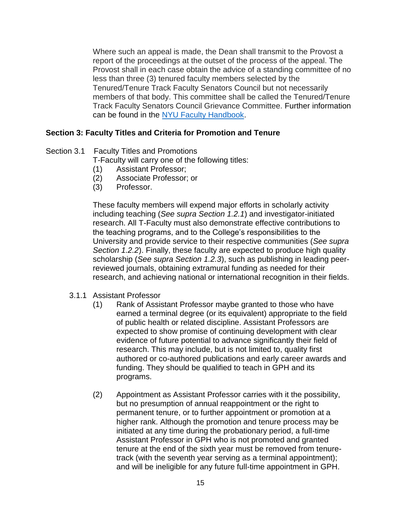Where such an appeal is made, the Dean shall transmit to the Provost a report of the proceedings at the outset of the process of the appeal. The Provost shall in each case obtain the advice of a standing committee of no less than three (3) tenured faculty members selected by the Tenured/Tenure Track Faculty Senators Council but not necessarily members of that body. This committee shall be called the Tenured/Tenure Track Faculty Senators Council Grievance Committee. Further information can be found in the [NYU Faculty Handbook.](http://www.nyu.edu/content/dam/nyu/provost/documents/facultyHandbook/6.27.16FacultyHandbookclean.pdf)

## **Section 3: Faculty Titles and Criteria for Promotion and Tenure**

# Section 3.1 Faculty Titles and Promotions

T-Faculty will carry one of the following titles:

- (1) Assistant Professor;
- (2) Associate Professor; or
- (3) Professor.

These faculty members will expend major efforts in scholarly activity including teaching (*See supra Section 1.2.1*) and investigator-initiated research. All T-Faculty must also demonstrate effective contributions to the teaching programs, and to the College's responsibilities to the University and provide service to their respective communities (*See supra Section 1.2.2*). Finally, these faculty are expected to produce high quality scholarship (*See supra Section 1.2.3*), such as publishing in leading peerreviewed journals, obtaining extramural funding as needed for their research, and achieving national or international recognition in their fields.

#### 3.1.1 Assistant Professor

- (1) Rank of Assistant Professor maybe granted to those who have earned a terminal degree (or its equivalent) appropriate to the field of public health or related discipline. Assistant Professors are expected to show promise of continuing development with clear evidence of future potential to advance significantly their field of research. This may include, but is not limited to, quality first authored or co-authored publications and early career awards and funding. They should be qualified to teach in GPH and its programs.
- (2) Appointment as Assistant Professor carries with it the possibility, but no presumption of annual reappointment or the right to permanent tenure, or to further appointment or promotion at a higher rank. Although the promotion and tenure process may be initiated at any time during the probationary period, a full-time Assistant Professor in GPH who is not promoted and granted tenure at the end of the sixth year must be removed from tenuretrack (with the seventh year serving as a terminal appointment); and will be ineligible for any future full-time appointment in GPH.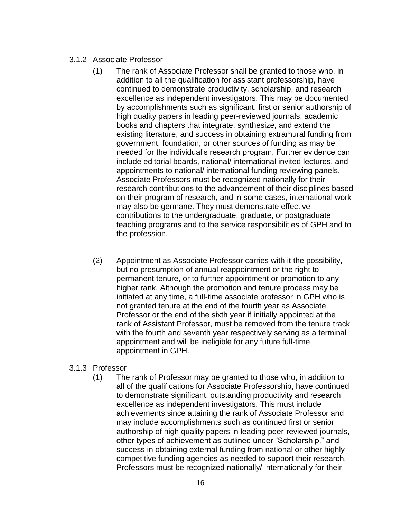#### 3.1.2 Associate Professor

- (1) The rank of Associate Professor shall be granted to those who, in addition to all the qualification for assistant professorship, have continued to demonstrate productivity, scholarship, and research excellence as independent investigators. This may be documented by accomplishments such as significant, first or senior authorship of high quality papers in leading peer-reviewed journals, academic books and chapters that integrate, synthesize, and extend the existing literature, and success in obtaining extramural funding from government, foundation, or other sources of funding as may be needed for the individual's research program. Further evidence can include editorial boards, national/ international invited lectures, and appointments to national/ international funding reviewing panels. Associate Professors must be recognized nationally for their research contributions to the advancement of their disciplines based on their program of research, and in some cases, international work may also be germane. They must demonstrate effective contributions to the undergraduate, graduate, or postgraduate teaching programs and to the service responsibilities of GPH and to the profession.
- (2) Appointment as Associate Professor carries with it the possibility, but no presumption of annual reappointment or the right to permanent tenure, or to further appointment or promotion to any higher rank. Although the promotion and tenure process may be initiated at any time, a full-time associate professor in GPH who is not granted tenure at the end of the fourth year as Associate Professor or the end of the sixth year if initially appointed at the rank of Assistant Professor, must be removed from the tenure track with the fourth and seventh year respectively serving as a terminal appointment and will be ineligible for any future full-time appointment in GPH.

#### 3.1.3 Professor

(1) The rank of Professor may be granted to those who, in addition to all of the qualifications for Associate Professorship, have continued to demonstrate significant, outstanding productivity and research excellence as independent investigators. This must include achievements since attaining the rank of Associate Professor and may include accomplishments such as continued first or senior authorship of high quality papers in leading peer-reviewed journals, other types of achievement as outlined under "Scholarship," and success in obtaining external funding from national or other highly competitive funding agencies as needed to support their research. Professors must be recognized nationally/ internationally for their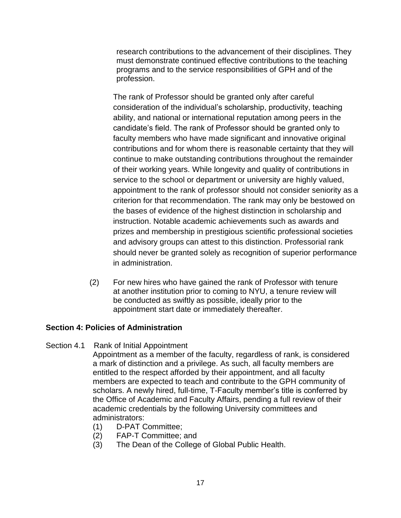research contributions to the advancement of their disciplines. They must demonstrate continued effective contributions to the teaching programs and to the service responsibilities of GPH and of the profession.

The rank of Professor should be granted only after careful consideration of the individual's scholarship, productivity, teaching ability, and national or international reputation among peers in the candidate's field. The rank of Professor should be granted only to faculty members who have made significant and innovative original contributions and for whom there is reasonable certainty that they will continue to make outstanding contributions throughout the remainder of their working years. While longevity and quality of contributions in service to the school or department or university are highly valued, appointment to the rank of professor should not consider seniority as a criterion for that recommendation. The rank may only be bestowed on the bases of evidence of the highest distinction in scholarship and instruction. Notable academic achievements such as awards and prizes and membership in prestigious scientific professional societies and advisory groups can attest to this distinction. Professorial rank should never be granted solely as recognition of superior performance in administration.

(2) For new hires who have gained the rank of Professor with tenure at another institution prior to coming to NYU, a tenure review will be conducted as swiftly as possible, ideally prior to the appointment start date or immediately thereafter.

# **Section 4: Policies of Administration**

#### Section 4.1 Rank of Initial Appointment

Appointment as a member of the faculty, regardless of rank, is considered a mark of distinction and a privilege. As such, all faculty members are entitled to the respect afforded by their appointment, and all faculty members are expected to teach and contribute to the GPH community of scholars. A newly hired, full-time, T-Faculty member's title is conferred by the Office of Academic and Faculty Affairs, pending a full review of their academic credentials by the following University committees and administrators:

- (1) D-PAT Committee;
- (2) FAP-T Committee; and
- (3) The Dean of the College of Global Public Health.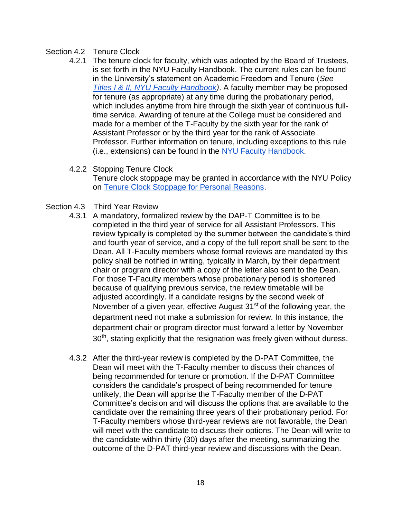#### Section 4.2 Tenure Clock

- 4.2.1 The tenure clock for faculty, which was adopted by the Board of Trustees, is set forth in the NYU Faculty Handbook. The current rules can be found in the University's statement on Academic Freedom and Tenure (*See [Titles I & II, NYU Faculty Handbook\)](https://www.nyu.edu/content/dam/nyu/provost/documents/facultyHandbook/6.27.16FacultyHandbookclean.pdf)*. A faculty member may be proposed for tenure (as appropriate) at any time during the probationary period, which includes anytime from hire through the sixth year of continuous fulltime service. Awarding of tenure at the College must be considered and made for a member of the T-Faculty by the sixth year for the rank of Assistant Professor or by the third year for the rank of Associate Professor. Further information on tenure, including exceptions to this rule (i.e., extensions) can be found in the [NYU Faculty Handbook.](https://www.nyu.edu/content/dam/nyu/provost/documents/facultyHandbook/6.27.16FacultyHandbookclean.pdf)
- 4.2.2 Stopping Tenure Clock

Tenure clock stoppage may be granted in accordance with the NYU Policy on [Tenure Clock Stoppage for Personal Reasons.](https://www.nyu.edu/faculty/governance-policies-and-procedures/faculty-handbook/the-faculty/policies-applicable-to-tenured-and-tenure-track-faculty/additional-faculty-policies-applicable-to-tenured-and-tenure-tra/tenure-clock-stoppage-for-personal-reasons.html)

- Section 4.3 Third Year Review
	- 4.3.1 A mandatory, formalized review by the DAP-T Committee is to be completed in the third year of service for all Assistant Professors. This review typically is completed by the summer between the candidate's third and fourth year of service, and a copy of the full report shall be sent to the Dean. All T-Faculty members whose formal reviews are mandated by this policy shall be notified in writing, typically in March, by their department chair or program director with a copy of the letter also sent to the Dean. For those T-Faculty members whose probationary period is shortened because of qualifying previous service, the review timetable will be adjusted accordingly. If a candidate resigns by the second week of November of a given year, effective August  $31<sup>st</sup>$  of the following year, the department need not make a submission for review. In this instance, the department chair or program director must forward a letter by November  $30<sup>th</sup>$ , stating explicitly that the resignation was freely given without duress.
	- 4.3.2 After the third-year review is completed by the D-PAT Committee, the Dean will meet with the T-Faculty member to discuss their chances of being recommended for tenure or promotion. If the D-PAT Committee considers the candidate's prospect of being recommended for tenure unlikely, the Dean will apprise the T-Faculty member of the D-PAT Committee's decision and will discuss the options that are available to the candidate over the remaining three years of their probationary period. For T-Faculty members whose third-year reviews are not favorable, the Dean will meet with the candidate to discuss their options. The Dean will write to the candidate within thirty (30) days after the meeting, summarizing the outcome of the D-PAT third-year review and discussions with the Dean.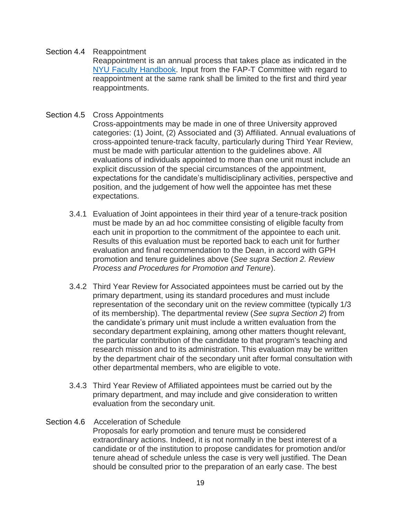#### Section 4.4 Reappointment

Reappointment is an annual process that takes place as indicated in the [NYU Faculty Handbook.](http://www.nyu.edu/content/dam/nyu/provost/documents/facultyHandbook/6.27.16FacultyHandbookclean.pdf) Input from the FAP-T Committee with regard to reappointment at the same rank shall be limited to the first and third year reappointments.

#### Section 4.5 Cross Appointments

Cross-appointments may be made in one of three University approved categories: (1) Joint, (2) Associated and (3) Affiliated. Annual evaluations of cross-appointed tenure-track faculty, particularly during Third Year Review, must be made with particular attention to the guidelines above. All evaluations of individuals appointed to more than one unit must include an explicit discussion of the special circumstances of the appointment, expectations for the candidate's multidisciplinary activities, perspective and position, and the judgement of how well the appointee has met these expectations.

- 3.4.1 Evaluation of Joint appointees in their third year of a tenure-track position must be made by an ad hoc committee consisting of eligible faculty from each unit in proportion to the commitment of the appointee to each unit. Results of this evaluation must be reported back to each unit for further evaluation and final recommendation to the Dean, in accord with GPH promotion and tenure guidelines above (*See supra Section 2. Review Process and Procedures for Promotion and Tenure*).
- 3.4.2 Third Year Review for Associated appointees must be carried out by the primary department, using its standard procedures and must include representation of the secondary unit on the review committee (typically 1/3 of its membership). The departmental review (*See supra Section 2*) from the candidate's primary unit must include a written evaluation from the secondary department explaining, among other matters thought relevant, the particular contribution of the candidate to that program's teaching and research mission and to its administration. This evaluation may be written by the department chair of the secondary unit after formal consultation with other departmental members, who are eligible to vote.
- 3.4.3 Third Year Review of Affiliated appointees must be carried out by the primary department, and may include and give consideration to written evaluation from the secondary unit.

#### Section 4.6 Acceleration of Schedule

Proposals for early promotion and tenure must be considered extraordinary actions. Indeed, it is not normally in the best interest of a candidate or of the institution to propose candidates for promotion and/or tenure ahead of schedule unless the case is very well justified. The Dean should be consulted prior to the preparation of an early case. The best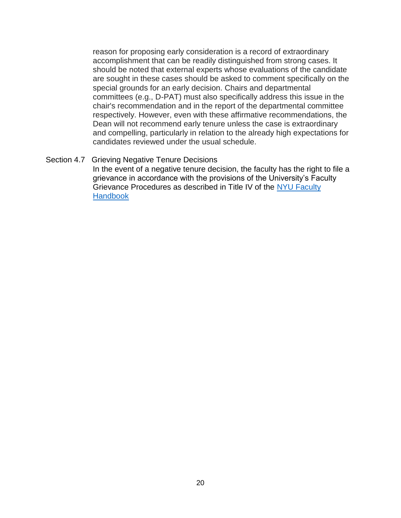reason for proposing early consideration is a record of extraordinary accomplishment that can be readily distinguished from strong cases. It should be noted that external experts whose evaluations of the candidate are sought in these cases should be asked to comment specifically on the special grounds for an early decision. Chairs and departmental committees (e.g., D-PAT) must also specifically address this issue in the chair's recommendation and in the report of the departmental committee respectively. However, even with these affirmative recommendations, the Dean will not recommend early tenure unless the case is extraordinary and compelling, particularly in relation to the already high expectations for candidates reviewed under the usual schedule.

#### Section 4.7 Grieving Negative Tenure Decisions

In the event of a negative tenure decision, the faculty has the right to file a grievance in accordance with the provisions of the University's Faculty Grievance Procedures as described in Title IV of the [NYU Faculty](http://www.nyu.edu/content/dam/nyu/provost/documents/facultyHandbook/6.27.16FacultyHandbookclean.pdf) **Handbook**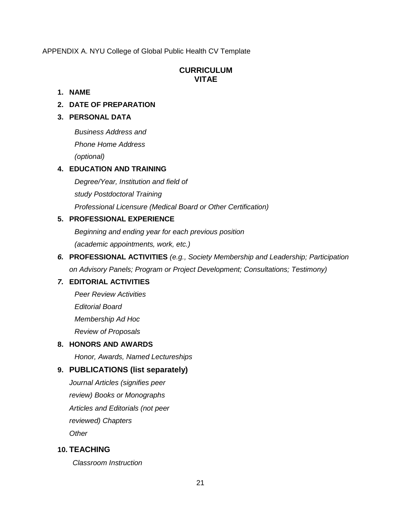APPENDIX A. NYU College of Global Public Health CV Template

#### **CURRICULUM VITAE**

#### **1. NAME**

## **2. DATE OF PREPARATION**

#### **3. PERSONAL DATA**

*Business Address and Phone Home Address (optional)*

#### **4. EDUCATION AND TRAINING**

*Degree/Year, Institution and field of study Postdoctoral Training Professional Licensure (Medical Board or Other Certification)*

# **5. PROFESSIONAL EXPERIENCE**

*Beginning and ending year for each previous position (academic appointments, work, etc.)*

*6.* **PROFESSIONAL ACTIVITIES** *(e.g., Society Membership and Leadership; Participation on Advisory Panels; Program or Project Development; Consultations; Testimony)*

# *7.* **EDITORIAL ACTIVITIES**

*Peer Review Activities Editorial Board Membership Ad Hoc Review of Proposals*

#### **8. HONORS AND AWARDS**

*Honor, Awards, Named Lectureships*

# **9. PUBLICATIONS (list separately)**

*Journal Articles (signifies peer review) Books or Monographs Articles and Editorials (not peer reviewed) Chapters Other*

# **10. TEACHING**

*Classroom Instruction*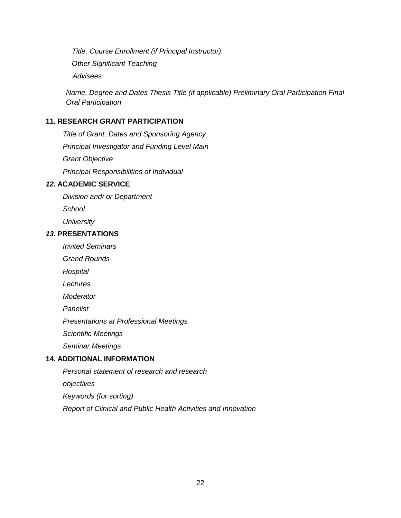*Title, Course Enrollment (if Principal Instructor) Other Significant Teaching Advisees*

*Name, Degree and Dates Thesis Title (if applicable) Preliminary Oral Participation Final Oral Participation*

#### **11. RESEARCH GRANT PARTICIPATION**

*Title of Grant, Dates and Sponsoring Agency Principal Investigator and Funding Level Main Grant Objective Principal Responsibilities of Individual*

## *12.* **ACADEMIC SERVICE**

*Division and/ or Department* 

*School*

*University*

#### *13.* **PRESENTATIONS**

*Invited Seminars* 

*Grand Rounds* 

*Hospital*

*Lectures* 

*Moderator* 

*Panelist*

*Presentations at Professional Meetings* 

*Scientific Meetings*

*Seminar Meetings*

# **14. ADDITIONAL INFORMATION**

*Personal statement of research and research* 

*objectives*

*Keywords (for sorting)*

*Report of Clinical and Public Health Activities and Innovation*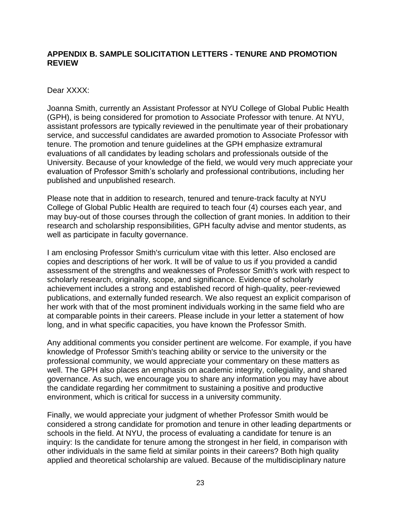# **APPENDIX B. SAMPLE SOLICITATION LETTERS - TENURE AND PROMOTION REVIEW**

#### Dear XXXX:

Joanna Smith, currently an Assistant Professor at NYU College of Global Public Health (GPH), is being considered for promotion to Associate Professor with tenure. At NYU, assistant professors are typically reviewed in the penultimate year of their probationary service, and successful candidates are awarded promotion to Associate Professor with tenure. The promotion and tenure guidelines at the GPH emphasize extramural evaluations of all candidates by leading scholars and professionals outside of the University. Because of your knowledge of the field, we would very much appreciate your evaluation of Professor Smith's scholarly and professional contributions, including her published and unpublished research.

Please note that in addition to research, tenured and tenure-track faculty at NYU College of Global Public Health are required to teach four (4) courses each year, and may buy-out of those courses through the collection of grant monies. In addition to their research and scholarship responsibilities, GPH faculty advise and mentor students, as well as participate in faculty governance.

I am enclosing Professor Smith's curriculum vitae with this letter. Also enclosed are copies and descriptions of her work. It will be of value to us if you provided a candid assessment of the strengths and weaknesses of Professor Smith's work with respect to scholarly research, originality, scope, and significance. Evidence of scholarly achievement includes a strong and established record of high-quality, peer-reviewed publications, and externally funded research. We also request an explicit comparison of her work with that of the most prominent individuals working in the same field who are at comparable points in their careers. Please include in your letter a statement of how long, and in what specific capacities, you have known the Professor Smith.

Any additional comments you consider pertinent are welcome. For example, if you have knowledge of Professor Smith's teaching ability or service to the university or the professional community, we would appreciate your commentary on these matters as well. The GPH also places an emphasis on academic integrity, collegiality, and shared governance. As such, we encourage you to share any information you may have about the candidate regarding her commitment to sustaining a positive and productive environment, which is critical for success in a university community.

Finally, we would appreciate your judgment of whether Professor Smith would be considered a strong candidate for promotion and tenure in other leading departments or schools in the field. At NYU, the process of evaluating a candidate for tenure is an inquiry: Is the candidate for tenure among the strongest in her field, in comparison with other individuals in the same field at similar points in their careers? Both high quality applied and theoretical scholarship are valued. Because of the multidisciplinary nature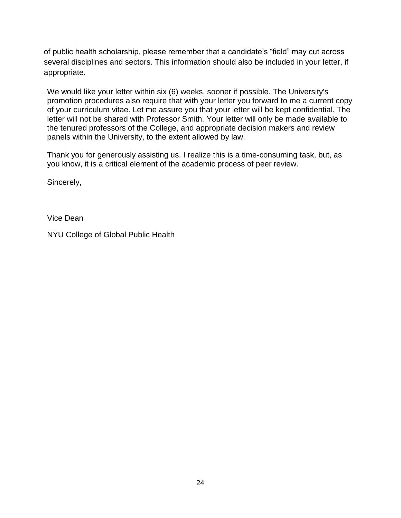of public health scholarship, please remember that a candidate's "field" may cut across several disciplines and sectors. This information should also be included in your letter, if appropriate.

We would like your letter within six (6) weeks, sooner if possible. The University's promotion procedures also require that with your letter you forward to me a current copy of your curriculum vitae. Let me assure you that your letter will be kept confidential. The letter will not be shared with Professor Smith. Your letter will only be made available to the tenured professors of the College, and appropriate decision makers and review panels within the University, to the extent allowed by law.

Thank you for generously assisting us. I realize this is a time-consuming task, but, as you know, it is a critical element of the academic process of peer review.

Sincerely,

Vice Dean

NYU College of Global Public Health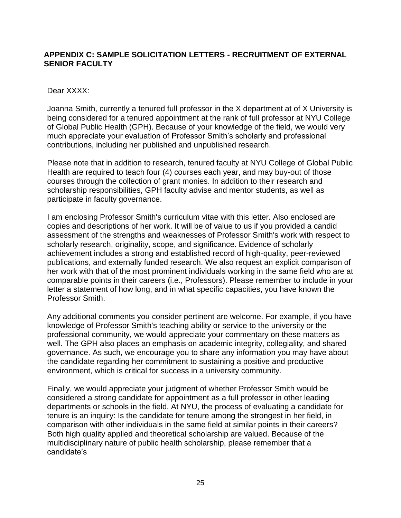# **APPENDIX C: SAMPLE SOLICITATION LETTERS - RECRUITMENT OF EXTERNAL SENIOR FACULTY**

#### Dear XXXX:

Joanna Smith, currently a tenured full professor in the X department at of X University is being considered for a tenured appointment at the rank of full professor at NYU College of Global Public Health (GPH). Because of your knowledge of the field, we would very much appreciate your evaluation of Professor Smith's scholarly and professional contributions, including her published and unpublished research.

Please note that in addition to research, tenured faculty at NYU College of Global Public Health are required to teach four (4) courses each year, and may buy-out of those courses through the collection of grant monies. In addition to their research and scholarship responsibilities, GPH faculty advise and mentor students, as well as participate in faculty governance.

I am enclosing Professor Smith's curriculum vitae with this letter. Also enclosed are copies and descriptions of her work. It will be of value to us if you provided a candid assessment of the strengths and weaknesses of Professor Smith's work with respect to scholarly research, originality, scope, and significance. Evidence of scholarly achievement includes a strong and established record of high-quality, peer-reviewed publications, and externally funded research. We also request an explicit comparison of her work with that of the most prominent individuals working in the same field who are at comparable points in their careers (i.e., Professors). Please remember to include in your letter a statement of how long, and in what specific capacities, you have known the Professor Smith.

Any additional comments you consider pertinent are welcome. For example, if you have knowledge of Professor Smith's teaching ability or service to the university or the professional community, we would appreciate your commentary on these matters as well. The GPH also places an emphasis on academic integrity, collegiality, and shared governance. As such, we encourage you to share any information you may have about the candidate regarding her commitment to sustaining a positive and productive environment, which is critical for success in a university community.

Finally, we would appreciate your judgment of whether Professor Smith would be considered a strong candidate for appointment as a full professor in other leading departments or schools in the field. At NYU, the process of evaluating a candidate for tenure is an inquiry: Is the candidate for tenure among the strongest in her field, in comparison with other individuals in the same field at similar points in their careers? Both high quality applied and theoretical scholarship are valued. Because of the multidisciplinary nature of public health scholarship, please remember that a candidate's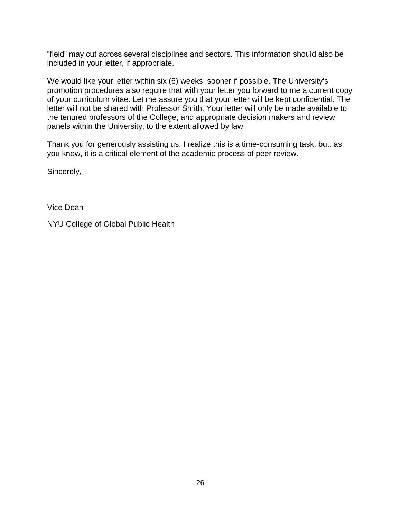"field" may cut across several disciplines and sectors. This information should also be included in your letter, if appropriate.

We would like your letter within six (6) weeks, sooner if possible. The University's promotion procedures also require that with your letter you forward to me a current copy of your curriculum vitae. Let me assure you that your letter will be kept confidential. The letter will not be shared with Professor Smith. Your letter will only be made available to the tenured professors of the College, and appropriate decision makers and review panels within the University, to the extent allowed by law.

Thank you for generously assisting us. I realize this is a time-consuming task, but, as you know, it is a critical element of the academic process of peer review.

Sincerely,

Vice Dean

NYU College of Global Public Health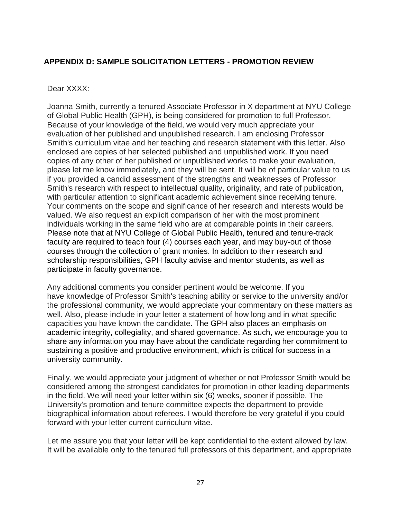# **APPENDIX D: SAMPLE SOLICITATION LETTERS - PROMOTION REVIEW**

#### Dear XXXX:

Joanna Smith, currently a tenured Associate Professor in X department at NYU College of Global Public Health (GPH), is being considered for promotion to full Professor. Because of your knowledge of the field, we would very much appreciate your evaluation of her published and unpublished research. I am enclosing Professor Smith's curriculum vitae and her teaching and research statement with this letter. Also enclosed are copies of her selected published and unpublished work. If you need copies of any other of her published or unpublished works to make your evaluation, please let me know immediately, and they will be sent. It will be of particular value to us if you provided a candid assessment of the strengths and weaknesses of Professor Smith's research with respect to intellectual quality, originality, and rate of publication, with particular attention to significant academic achievement since receiving tenure. Your comments on the scope and significance of her research and interests would be valued. We also request an explicit comparison of her with the most prominent individuals working in the same field who are at comparable points in their careers. Please note that at NYU College of Global Public Health, tenured and tenure-track faculty are required to teach four (4) courses each year, and may buy-out of those courses through the collection of grant monies. In addition to their research and scholarship responsibilities, GPH faculty advise and mentor students, as well as participate in faculty governance.

Any additional comments you consider pertinent would be welcome. If you have knowledge of Professor Smith's teaching ability or service to the university and/or the professional community, we would appreciate your commentary on these matters as well. Also, please include in your letter a statement of how long and in what specific capacities you have known the candidate. The GPH also places an emphasis on academic integrity, collegiality, and shared governance. As such, we encourage you to share any information you may have about the candidate regarding her commitment to sustaining a positive and productive environment, which is critical for success in a university community.

Finally, we would appreciate your judgment of whether or not Professor Smith would be considered among the strongest candidates for promotion in other leading departments in the field. We will need your letter within six (6) weeks, sooner if possible. The University's promotion and tenure committee expects the department to provide biographical information about referees. I would therefore be very grateful if you could forward with your letter current curriculum vitae.

Let me assure you that your letter will be kept confidential to the extent allowed by law. It will be available only to the tenured full professors of this department, and appropriate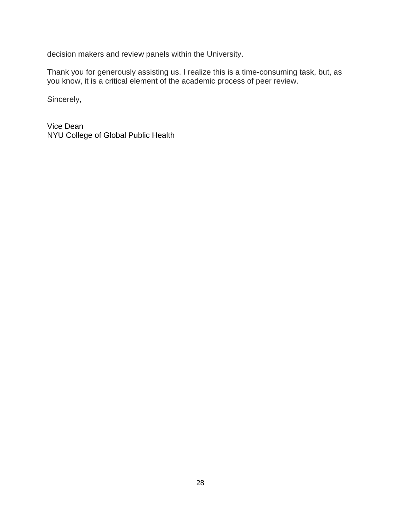decision makers and review panels within the University.

Thank you for generously assisting us. I realize this is a time-consuming task, but, as you know, it is a critical element of the academic process of peer review.

Sincerely,

Vice Dean NYU College of Global Public Health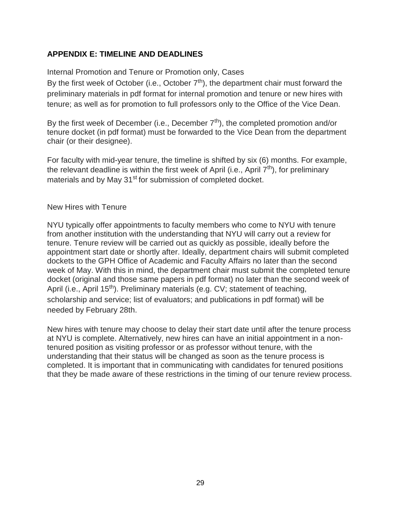# **APPENDIX E: TIMELINE AND DEADLINES**

Internal Promotion and Tenure or Promotion only, Cases

By the first week of October (i.e., October  $7<sup>th</sup>$ ), the department chair must forward the preliminary materials in pdf format for internal promotion and tenure or new hires with tenure; as well as for promotion to full professors only to the Office of the Vice Dean.

By the first week of December (i.e., December  $7<sup>th</sup>$ ), the completed promotion and/or tenure docket (in pdf format) must be forwarded to the Vice Dean from the department chair (or their designee).

For faculty with mid-year tenure, the timeline is shifted by six (6) months. For example, the relevant deadline is within the first week of April (i.e., April  $7<sup>th</sup>$ ), for preliminary materials and by May 31<sup>st</sup> for submission of completed docket.

New Hires with Tenure

NYU typically offer appointments to faculty members who come to NYU with tenure from another institution with the understanding that NYU will carry out a review for tenure. Tenure review will be carried out as quickly as possible, ideally before the appointment start date or shortly after. Ideally, department chairs will submit completed dockets to the GPH Office of Academic and Faculty Affairs no later than the second week of May. With this in mind, the department chair must submit the completed tenure docket (original and those same papers in pdf format) no later than the second week of April (i.e., April 15<sup>th</sup>). Preliminary materials (e.g. CV; statement of teaching, scholarship and service; list of evaluators; and publications in pdf format) will be needed by February 28th.

New hires with tenure may choose to delay their start date until after the tenure process at NYU is complete. Alternatively, new hires can have an initial appointment in a nontenured position as visiting professor or as professor without tenure, with the understanding that their status will be changed as soon as the tenure process is completed. It is important that in communicating with candidates for tenured positions that they be made aware of these restrictions in the timing of our tenure review process.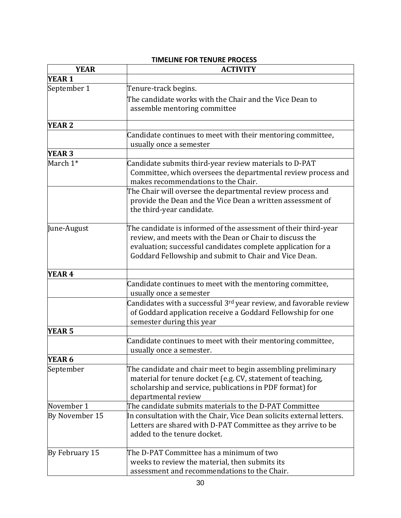| <b>YEAR</b>       | <b>INILLINE FOR TENORE FROCLSS</b><br><b>ACTIVITY</b>                                                                                                                                                                                               |
|-------------------|-----------------------------------------------------------------------------------------------------------------------------------------------------------------------------------------------------------------------------------------------------|
| <b>YEAR 1</b>     |                                                                                                                                                                                                                                                     |
| September 1       | Tenure-track begins.<br>The candidate works with the Chair and the Vice Dean to<br>assemble mentoring committee                                                                                                                                     |
| <b>YEAR 2</b>     |                                                                                                                                                                                                                                                     |
|                   | Candidate continues to meet with their mentoring committee,<br>usually once a semester                                                                                                                                                              |
| <b>YEAR 3</b>     |                                                                                                                                                                                                                                                     |
| March 1*          | Candidate submits third-year review materials to D-PAT<br>Committee, which oversees the departmental review process and<br>makes recommendations to the Chair.                                                                                      |
|                   | The Chair will oversee the departmental review process and<br>provide the Dean and the Vice Dean a written assessment of<br>the third-year candidate.                                                                                               |
| June-August       | The candidate is informed of the assessment of their third-year<br>review, and meets with the Dean or Chair to discuss the<br>evaluation; successful candidates complete application for a<br>Goddard Fellowship and submit to Chair and Vice Dean. |
| YEAR <sub>4</sub> |                                                                                                                                                                                                                                                     |
|                   | Candidate continues to meet with the mentoring committee,<br>usually once a semester                                                                                                                                                                |
|                   | Candidates with a successful 3 <sup>rd</sup> year review, and favorable review<br>of Goddard application receive a Goddard Fellowship for one<br>semester during this year                                                                          |
| <b>YEAR 5</b>     |                                                                                                                                                                                                                                                     |
|                   | Candidate continues to meet with their mentoring committee,<br>usually once a semester.                                                                                                                                                             |
| <b>YEAR 6</b>     |                                                                                                                                                                                                                                                     |
| September         | The candidate and chair meet to begin assembling preliminary<br>material for tenure docket (e.g. CV, statement of teaching,<br>scholarship and service, publications in PDF format) for<br>departmental review                                      |
| November 1        | The candidate submits materials to the D-PAT Committee                                                                                                                                                                                              |
| By November 15    | In consultation with the Chair, Vice Dean solicits external letters.<br>Letters are shared with D-PAT Committee as they arrive to be<br>added to the tenure docket.                                                                                 |
| By February 15    | The D-PAT Committee has a minimum of two<br>weeks to review the material, then submits its<br>assessment and recommendations to the Chair.                                                                                                          |

#### **TIMELINE FOR TENURE PROCESS**